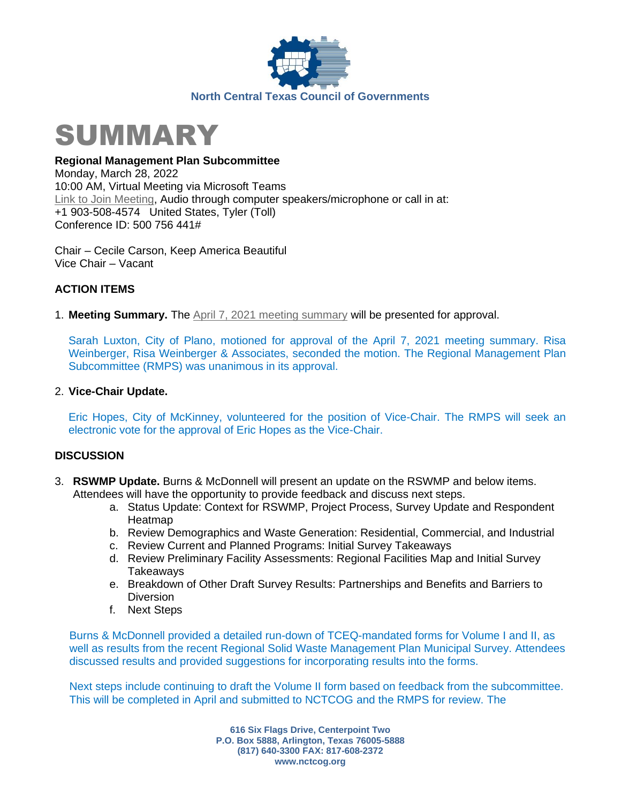



**Regional Management Plan Subcommittee** Monday, March 28, 2022 10:00 AM, Virtual Meeting via Microsoft Teams [Link to Join Meeting,](https://nam12.safelinks.protection.outlook.com/ap/t-59584e83/?url=https%3A%2F%2Fteams.microsoft.com%2Fl%2Fmeetup-join%2F19%253ameeting_M2UzYzUzZDAtNGExNC00NGZlLWJkYjItODY3MTllNzVjMmFm%2540thread.v2%2F0%3Fcontext%3D%257b%2522Tid%2522%253a%25222f5e7ebc-22b0-4fbe-934c-aabddb4e29b1%2522%252c%2522Oid%2522%253a%2522e36755e2-eefa-4b02-b9cc-4498875cd36a%2522%257d&data=04%7C01%7CHAllen%40nctcog.org%7C768384150e164cf2f40208d9fe0dc337%7C2f5e7ebc22b04fbe934caabddb4e29b1%7C0%7C0%7C637820157343536092%7CUnknown%7CTWFpbGZsb3d8eyJWIjoiMC4wLjAwMDAiLCJQIjoiV2luMzIiLCJBTiI6Ik1haWwiLCJXVCI6Mn0%3D%7C3000&sdata=7%2FMv2VomZPQA8J4LOJ1%2Fii7oQ4WM0LA3Bmf4rhGkvuw%3D&reserved=0) Audio through computer speakers/microphone or call in at: +1 903-508-4574 United States, Tyler (Toll) Conference ID: 500 756 441#

Chair – Cecile Carson, Keep America Beautiful Vice Chair – Vacant

### **ACTION ITEMS**

1. **Meeting Summary.** The April 7, 2021 [meeting summary](https://nctcog.org/nctcg/media/Environment-and-Development/Committee%20Documents/RCC-Regional%20Management%20Plan%20Sub/FY2021/2021-04-07-RMPS-Summary.pdf?ext=.pdf) will be presented for approval.

Sarah Luxton, City of Plano, motioned for approval of the April 7, 2021 meeting summary. Risa Weinberger, Risa Weinberger & Associates, seconded the motion. The Regional Management Plan Subcommittee (RMPS) was unanimous in its approval.

#### 2. **Vice-Chair Update.**

Eric Hopes, City of McKinney, volunteered for the position of Vice-Chair. The RMPS will seek an electronic vote for the approval of Eric Hopes as the Vice-Chair.

#### **DISCUSSION**

- 3. **RSWMP Update.** Burns & McDonnell will present an update on the RSWMP and below items. Attendees will have the opportunity to provide feedback and discuss next steps.
	- a. Status Update: Context for RSWMP, Project Process, Survey Update and Respondent **Heatmap**
	- b. Review Demographics and Waste Generation: Residential, Commercial, and Industrial
	- c. Review Current and Planned Programs: Initial Survey Takeaways
	- d. Review Preliminary Facility Assessments: Regional Facilities Map and Initial Survey **Takeawavs**
	- e. Breakdown of Other Draft Survey Results: Partnerships and Benefits and Barriers to **Diversion**
	- f. Next Steps

Burns & McDonnell provided a detailed run-down of TCEQ-mandated forms for Volume I and II, as well as results from the recent Regional Solid Waste Management Plan Municipal Survey. Attendees discussed results and provided suggestions for incorporating results into the forms.

Next steps include continuing to draft the Volume II form based on feedback from the subcommittee. This will be completed in April and submitted to NCTCOG and the RMPS for review. The

> **616 Six Flags Drive, Centerpoint Two P.O. Box 5888, Arlington, Texas 76005-5888 (817) 640-3300 FAX: 817-608-2372 www.nctcog.org**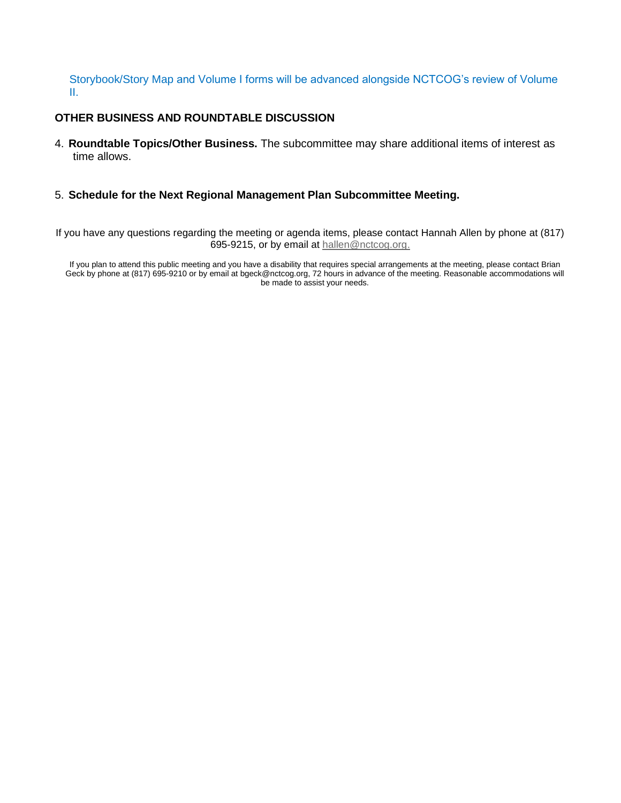#### Storybook/Story Map and Volume I forms will be advanced alongside NCTCOG's review of Volume II.

#### **OTHER BUSINESS AND ROUNDTABLE DISCUSSION**

4. **Roundtable Topics/Other Business.** The subcommittee may share additional items of interest as time allows.

#### 5. **Schedule for the Next Regional Management Plan Subcommittee Meeting.**

If you have any questions regarding the meeting or agenda items, please contact Hannah Allen by phone at (817) 695-9215, or by email at [hallen@nctcog.org.](mailto:hallen@nctcog.org)

If you plan to attend this public meeting and you have a disability that requires special arrangements at the meeting, please contact Brian Geck by phone at (817) 695-9210 or by email at bgeck@nctcog.org, 72 hours in advance of the meeting. Reasonable accommodations will be made to assist your needs.